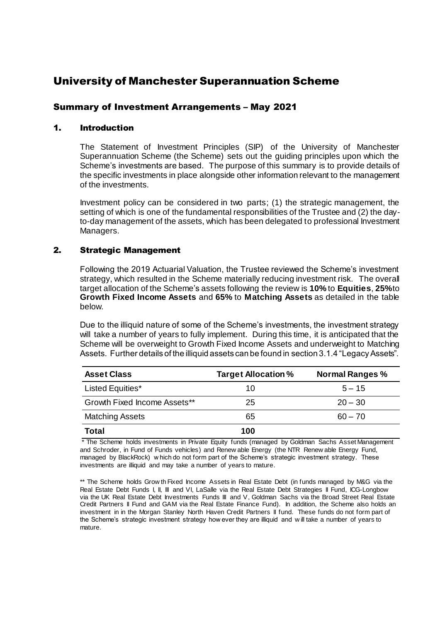# University of Manchester Superannuation Scheme

# Summary of Investment Arrangements – May 2021

# 1. Introduction

The Statement of Investment Principles (SIP) of the University of Manchester Superannuation Scheme (the Scheme) sets out the guiding principles upon which the Scheme's investments are based. The purpose of this summary is to provide details of the specific investments in place alongside other information relevant to the management of the investments.

Investment policy can be considered in two parts; (1) the strategic management, the setting of which is one of the fundamental responsibilities of the Trustee and (2) the dayto-day management of the assets, which has been delegated to professional Investment Managers.

## 2. Strategic Management

Following the 2019 Actuarial Valuation, the Trustee reviewed the Scheme's investment strategy, which resulted in the Scheme materially reducing investment risk. The overall target allocation of the Scheme's assets following the review is **10%** to **Equities**, **25%** to **Growth Fixed Income Assets** and **65%** to **Matching Assets** as detailed in the table below.

Due to the illiquid nature of some of the Scheme's investments, the investment strategy will take a number of years to fully implement. During this time, it is anticipated that the Scheme will be overweight to Growth Fixed Income Assets and underweight to Matching Assets. Further details of the illiquid assets can be found in section 3.1.4 "Legacy Assets".

| <b>Asset Class</b>           | <b>Target Allocation %</b> | <b>Normal Ranges %</b> |
|------------------------------|----------------------------|------------------------|
| Listed Equities*             | 10                         | $5 - 15$               |
| Growth Fixed Income Assets** | 25                         | $20 - 30$              |
| <b>Matching Assets</b>       | 65                         | $60 - 70$              |
| Total                        | 100                        |                        |

\* The Scheme holds investments in Private Equity funds (managed by Goldman Sachs Asset Management and Schroder, in Fund of Funds vehicles) and Renew able Energy (the NTR Renew able Energy Fund, managed by BlackRock) w hich do not form part of the Scheme's strategic investment strategy. These investments are illiquid and may take a number of years to mature.

\*\* The Scheme holds Grow th Fixed Income Assets in Real Estate Debt (in funds managed by M&G via the Real Estate Debt Funds I, II, III and VI, LaSalle via the Real Estate Debt Strategies II Fund, ICG-Longbow via the UK Real Estate Debt Investments Funds III and V, Goldman Sachs via the Broad Street Real Estate Credit Partners II Fund and GAM via the Real Estate Finance Fund). In addition, the Scheme also holds an investment in in the Morgan Stanley North Haven Credit Partners II fund. These funds do not form part of the Scheme's strategic investment strategy how ever they are illiquid and w ill take a number of years to mature.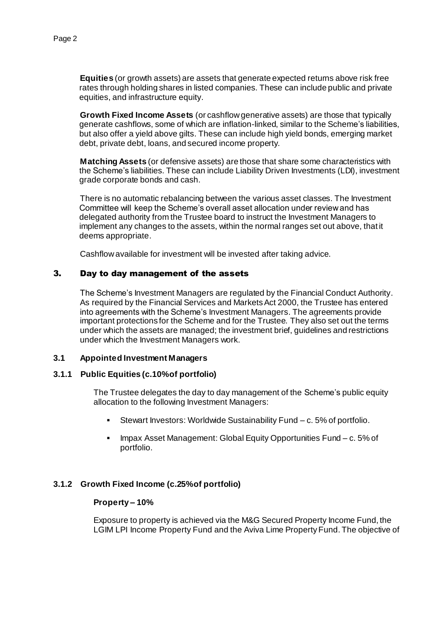**Equities** (or growth assets) are assets that generate expected returns above risk free rates through holding shares in listed companies. These can include public and private equities, and infrastructure equity.

**Growth Fixed Income Assets** (or cashflow generative assets) are those that typically generate cashflows, some of which are inflation-linked, similar to the Scheme's liabilities, but also offer a yield above gilts. These can include high yield bonds, emerging market debt, private debt, loans, and secured income property.

**Matching Assets** (or defensive assets) are those that share some characteristics with the Scheme's liabilities. These can include Liability Driven Investments (LDI), investment grade corporate bonds and cash.

There is no automatic rebalancing between the various asset classes. The Investment Committee will keep the Scheme's overall asset allocation under review and has delegated authority from the Trustee board to instruct the Investment Managers to implement any changes to the assets, within the normal ranges set out above, that it deems appropriate.

Cashflow available for investment will be invested after taking advice.

# 3. Day to day management of the assets

The Scheme's Investment Managers are regulated by the Financial Conduct Authority. As required by the Financial Services and Markets Act 2000, the Trustee has entered into agreements with the Scheme's Investment Managers. The agreements provide important protections for the Scheme and for the Trustee. They also set out the terms under which the assets are managed; the investment brief, guidelines and restrictions under which the Investment Managers work.

#### **3.1 Appointed Investment Managers**

#### **3.1.1 Public Equities (c.10% of portfolio)**

The Trustee delegates the day to day management of the Scheme's public equity allocation to the following Investment Managers:

- Stewart Investors: Worldwide Sustainability Fund c. 5% of portfolio.
- **IMPAX Asset Management: Global Equity Opportunities Fund c. 5% of** portfolio.

## **3.1.2 Growth Fixed Income (c.25% of portfolio)**

#### **Property – 10%**

Exposure to property is achieved via the M&G Secured Property Income Fund, the LGIM LPI Income Property Fund and the Aviva Lime Property Fund. The objective of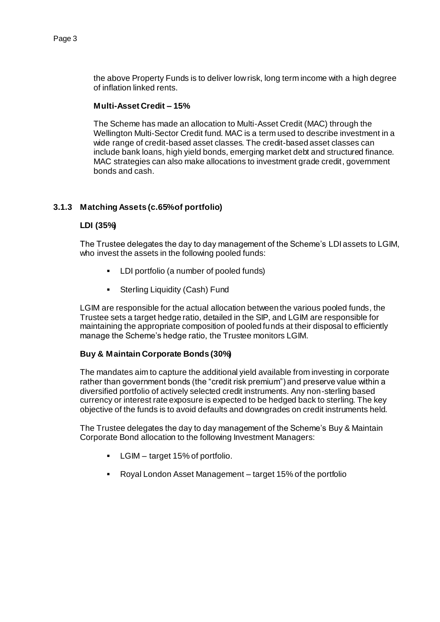the above Property Funds is to deliver low risk, long term income with a high degree of inflation linked rents.

#### **Multi-Asset Credit – 15%**

The Scheme has made an allocation to Multi-Asset Credit (MAC) through the Wellington Multi-Sector Credit fund. MAC is a term used to describe investment in a wide range of credit-based asset classes. The credit-based asset classes can include bank loans, high yield bonds, emerging market debt and structured finance. MAC strategies can also make allocations to investment grade credit, government bonds and cash.

## **3.1.3 Matching Assets (c.65% of portfolio)**

#### **LDI (35%)**

The Trustee delegates the day to day management of the Scheme's LDI assets to LGIM, who invest the assets in the following pooled funds:

- LDI portfolio (a number of pooled funds)
- **Sterling Liquidity (Cash) Fund**

LGIM are responsible for the actual allocation between the various pooled funds, the Trustee sets a target hedge ratio, detailed in the SIP, and LGIM are responsible for maintaining the appropriate composition of pooled funds at their disposal to efficiently manage the Scheme's hedge ratio, the Trustee monitors LGIM.

## **Buy & Maintain Corporate Bonds (30%)**

The mandates aim to capture the additional yield available from investing in corporate rather than government bonds (the "credit risk premium") and preserve value within a diversified portfolio of actively selected credit instruments. Any non-sterling based currency or interest rate exposure is expected to be hedged back to sterling. The key objective of the funds is to avoid defaults and downgrades on credit instruments held.

The Trustee delegates the day to day management of the Scheme's Buy & Maintain Corporate Bond allocation to the following Investment Managers:

- **-** LGIM target 15% of portfolio.
- Royal London Asset Management target 15% of the portfolio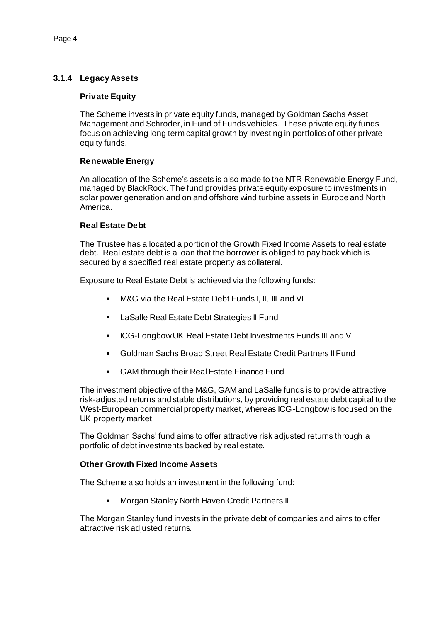# **3.1.4 Legacy Assets**

## **Private Equity**

The Scheme invests in private equity funds, managed by Goldman Sachs Asset Management and Schroder, in Fund of Funds vehicles. These private equity funds focus on achieving long term capital growth by investing in portfolios of other private equity funds.

## **Renewable Energy**

An allocation of the Scheme's assets is also made to the NTR Renewable Energy Fund, managed by BlackRock. The fund provides private equity exposure to investments in solar power generation and on and offshore wind turbine assets in Europe and North America.

## **Real Estate Debt**

The Trustee has allocated a portion of the Growth Fixed Income Assets to real estate debt. Real estate debt is a loan that the borrower is obliged to pay back which is secured by a specified real estate property as collateral.

Exposure to Real Estate Debt is achieved via the following funds:

- M&G via the Real Estate Debt Funds I, II, III and VI
- LaSalle Real Estate Debt Strategies II Fund
- **ICG-Longbow UK Real Estate Debt Investments Funds III and V**
- Goldman Sachs Broad Street Real Estate Credit Partners II Fund
- GAM through their Real Estate Finance Fund

The investment objective of the M&G, GAM and LaSalle funds is to provide attractive risk-adjusted returns and stable distributions, by providing real estate debt capital to the West-European commercial property market, whereas ICG-Longbow is focused on the UK property market.

The Goldman Sachs' fund aims to offer attractive risk adjusted returns through a portfolio of debt investments backed by real estate.

## **Other Growth Fixed Income Assets**

The Scheme also holds an investment in the following fund:

**Morgan Stanley North Haven Credit Partners II** 

The Morgan Stanley fund invests in the private debt of companies and aims to offer attractive risk adjusted returns.